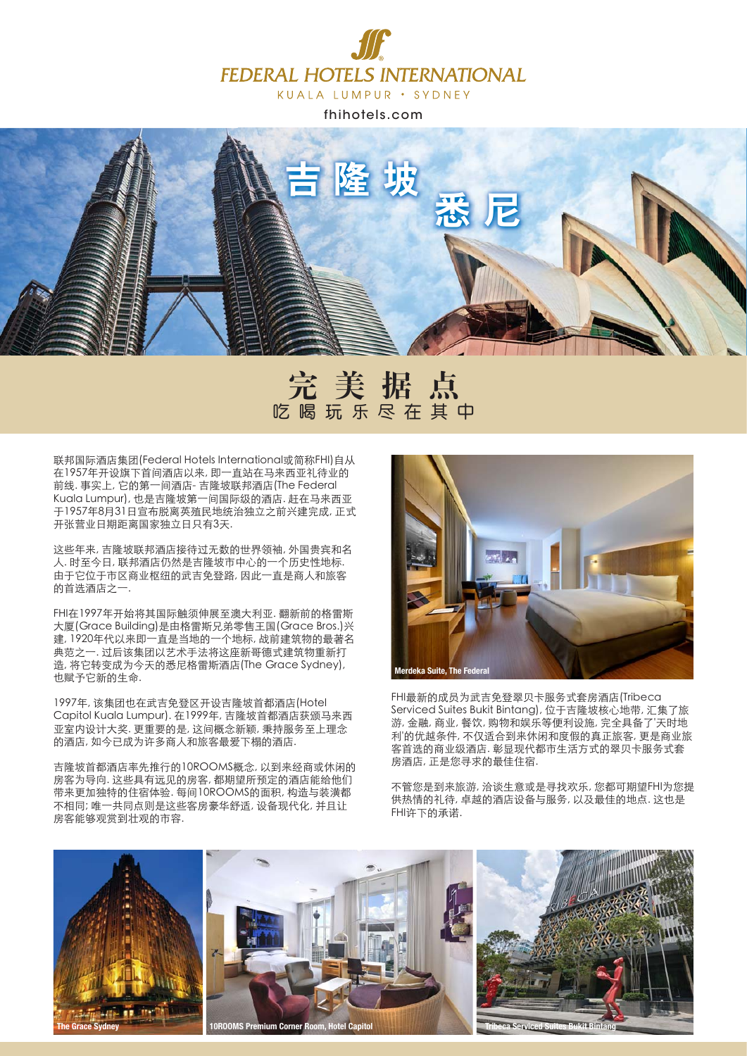

fhihotels.com



# **Ԇ࡚ፂᕇ** 吃喝玩乐尽在其中

联邦国际酒店集团(Federal Hotels International或简称FHI)自从 在1957年开设旗下首间酒店以来, 即一直站在马来西亚礼待业的 前线. 事实上, 它的第一间酒店- 吉隆坡联邦酒店(The Federal Kuala Lumpur), 也是吉隆坡第一间国际级的酒店. 赶在马来西亚 子1957年8月31日宣布脱离英殖民地统治独立之前兴建完成, 正式 开张营业日期距离国家独立日只有3天.

这些年来,吉隆坡联邦酒店接待过无数的世界领袖, 外国贵宾和名 人. 时至今日, 联邦酒店仍然是吉隆坡市中心的一个历史性地标. 由于它位于市区商业枢纽的武吉免登路,因此一直是商人和旅客 的首选酒店之一。

FHI在1997年开始将其国际触须伸展至澳大利亚. 翻新前的格雷斯 大厦(Grace Building)是由格雷斯兄弟零售王国(Grace Bros.)兴 建, 1920年代以来即一直是当地的一个地标, 战前建筑物的最著名 □<br>典范之一.过后该集团以艺术手法将这座新哥德式建筑物重新打 造, 将它转变成为今天的悉尼格雷斯酒店(The Grace Sydney), 也赋予它新的生命.

1997年,该集团也在武吉免登区开设吉隆坡首都酒店(Hotel Capitol Kuala Lumpur). 在1999年, 吉隆坡首都酒店获颁马来西 亚室内设计大奖.更重要的是,这间概念新颖,秉持服务至上理念 的酒店, 如今已成为许多商人和旅客最爱下榻的酒店。

吉降坡首都酒店率先推行的10ROOMS概念, 以到来经商或休闲的 房客为导向. 这些具有远见的房客, 都期望所预定的酒店能给他们 带来更加独特的住宿体验.每间10ROOMS的面积,构造与装潢都 不相同;唯一共同点则是这些客房豪华舒适, 设备现代化, 并且让 房客能够观赏到壮观的市容.



FHI最新的成员为武吉免登翠贝卡服务式套房酒店(Tribeca Serviced Suites Bukit Bintang), 位于吉隆坡核心地带, 汇集了旅 游, 金融, 商业, 餐饮, 购物和娱乐等便利设施, 完全具备了'天时地 利'的优越条件, 不仅适合到来休闲和度假的真正旅客, 更是商业旅 客首选的商业级酒店. 彰显现代都市生活方式的翠贝卡服务式套 房酒店,正是您寻求的最佳住宿.

不管您是到来旅游, 洽谈生意或是寻找欢乐, 您都可期望FHI为您提 供热情的礼待, 卓越的酒店设备与服务, 以及最佳的地点. 这也是 FHI许下的承诺.